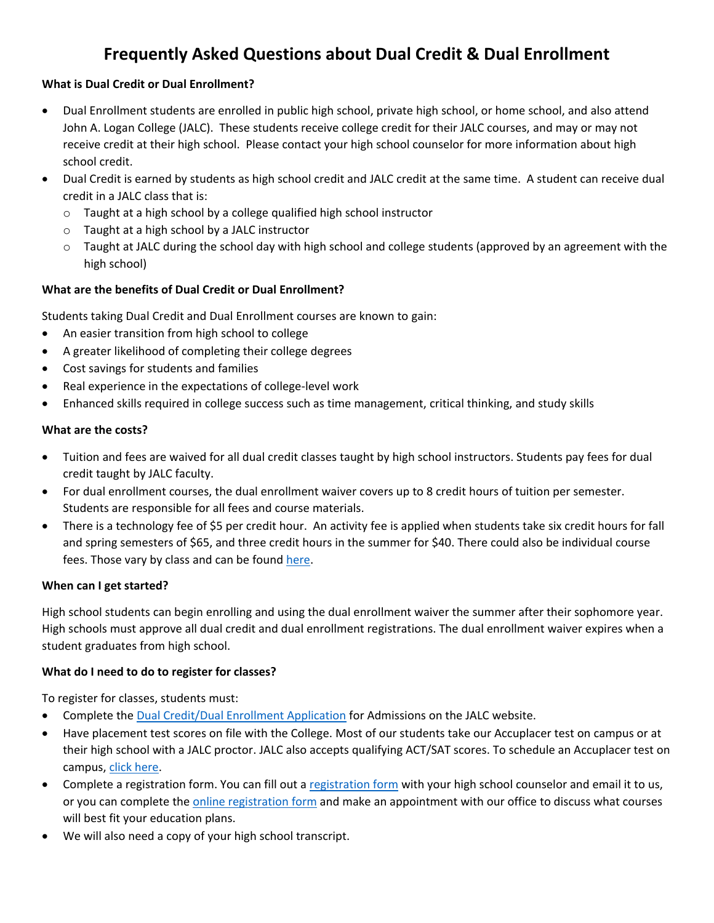# **Frequently Asked Questions about Dual Credit & Dual Enrollment**

# **What is Dual Credit or Dual Enrollment?**

- Dual Enrollment students are enrolled in public high school, private high school, or home school, and also attend John A. Logan College (JALC). These students receive college credit for their JALC courses, and may or may not receive credit at their high school. Please contact your high school counselor for more information about high school credit.
- Dual Credit is earned by students as high school credit and JALC credit at the same time. A student can receive dual credit in a JALC class that is:
	- o Taught at a high school by a college qualified high school instructor
	- o Taught at a high school by a JALC instructor
	- $\circ$  Taught at JALC during the school day with high school and college students (approved by an agreement with the high school)

# **What are the benefits of Dual Credit or Dual Enrollment?**

Students taking Dual Credit and Dual Enrollment courses are known to gain:

- An easier transition from high school to college
- A greater likelihood of completing their college degrees
- Cost savings for students and families
- Real experience in the expectations of college-level work
- Enhanced skills required in college success such as time management, critical thinking, and study skills

## **What are the costs?**

- Tuition and fees are waived for all dual credit classes taught by high school instructors. Students pay fees for dual credit taught by JALC faculty.
- For dual enrollment courses, the dual enrollment waiver covers up to 8 credit hours of tuition per semester. Students are responsible for all fees and course materials.
- There is a technology fee of \$5 per credit hour. An activity fee is applied when students take six credit hours for fall and spring semesters of \$65, and three credit hours in the summer for \$40. There could also be individual course fees. Those vary by class and can be found [here.](https://www.jalc.edu/wp-content/uploads/2020/02/fee_list.pdf)

## **When can I get started?**

High school students can begin enrolling and using the dual enrollment waiver the summer after their sophomore year. High schools must approve all dual credit and dual enrollment registrations. The dual enrollment waiver expires when a student graduates from high school.

## **What do I need to do to register for classes?**

To register for classes, students must:

- Complete the [Dual Credit/Dual Enrollment Application](https://my.jalc.edu/ICS/Admissions/APPLY_NOW.jnz?portlet=J1_FormFlow_-_Forms&screen=FormView&screenType=change&form=80b206df-301b-4383-877e-6183b9302904) for Admissions on the JALC website.
- Have placement test scores on file with the College. Most of our students take our Accuplacer test on campus or at their high school with a JALC proctor. JALC also accepts qualifying ACT/SAT scores. To schedule an Accuplacer test on campus, [click here.](https://www.jalc.edu/testing-services/placement-test-schedule/)
- Complete a registration form. You can fill out a [registration form](https://www.jalc.edu/wp-content/uploads/2020/05/dual_enrollment_registration_form.pdf) with your high school counselor and email it to us, or you can complete the [online registration form](https://www.jalc.edu/dual-credit-dual-enrollment-form/) and make an appointment with our office to discuss what courses will best fit your education plans.
- We will also need a copy of your high school transcript.